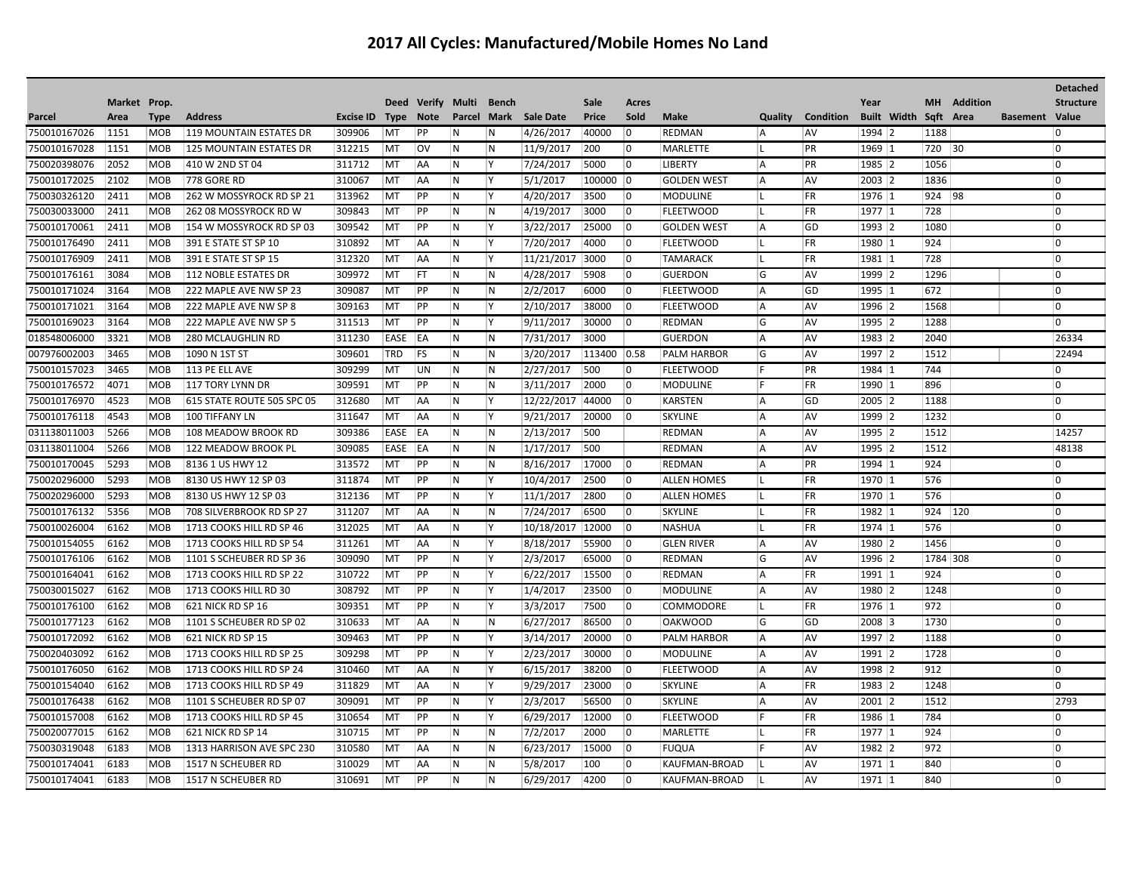## **2017 All Cycles: Manufactured/Mobile Homes No Land**

|              |              |             |                            |                  |             |             |       |             |                  |              |                |                    |          |                  |          |                    |           |                 |                       | Detached         |
|--------------|--------------|-------------|----------------------------|------------------|-------------|-------------|-------|-------------|------------------|--------------|----------------|--------------------|----------|------------------|----------|--------------------|-----------|-----------------|-----------------------|------------------|
|              | Market Prop. |             |                            |                  |             | Deed Verify | Multi | Bench       |                  | Sale         | Acres          |                    |          |                  | Year     |                    | <b>MH</b> | <b>Addition</b> |                       | <b>Structure</b> |
| Parcel       | Area         | <b>Type</b> | <b>Address</b>             | <b>Excise ID</b> | <b>Type</b> | <b>Note</b> |       | Parcel Mark | <b>Sale Date</b> | <b>Price</b> | Sold           | <b>Make</b>        | Quality  | <b>Condition</b> |          | <b>Built Width</b> | Sqft Area |                 | <b>Basement Value</b> |                  |
| 750010167026 | 1151         | <b>MOB</b>  | 119 MOUNTAIN ESTATES DR    | 309906           | MT          | PP          | N     | N           | 4/26/2017        | 40000        | $\overline{0}$ | REDMAN             | A        | <b>AV</b>        | 1994 2   |                    | 1188      |                 |                       | 0                |
| 750010167028 | 1151         | <b>MOB</b>  | 125 MOUNTAIN ESTATES DR    | 312215           | MT          | lov         | IN.   | IN.         | 11/9/2017        | 200          | $\overline{0}$ | <b>MARLETTE</b>    | IL.      | PR               | 1969 1   |                    | 720 30    |                 |                       | 0                |
| 750020398076 | 2052         | MOB         | 410 W 2ND ST 04            | 311712           | MT          | AA          | IN.   | ΙY          | 7/24/2017        | 5000         | $\overline{0}$ | <b>LIBERTY</b>     | <b>A</b> | PR               | 1985 2   |                    | 1056      |                 |                       | 10               |
| 750010172025 | 2102         | <b>MOB</b>  | 778 GORE RD                | 310067           | MT          | <b>AA</b>   | N     | İΥ.         | 5/1/2017         | 100000       | 0              | <b>GOLDEN WEST</b> | A        | AV               | 2003 2   |                    | 1836      |                 |                       | $\overline{0}$   |
| 750030326120 | 2411         | <b>MOB</b>  | 262 W MOSSYROCK RD SP 21   | 313962           | MT          | PP          | IN.   | <b>Y</b>    | 4/20/2017        | 3500         | $\overline{0}$ | <b>MODULINE</b>    | IL.      | FR               | 1976 1   |                    | 924 98    |                 |                       | 0                |
| 750030033000 | 2411         | <b>MOB</b>  | 262 08 MOSSYROCK RD W      | 309843           | MT          | PP          | IN.   | N           | 4/19/2017        | 3000         | $ 0\rangle$    | <b>FLEETWOOD</b>   |          | FR               | 1977 1   |                    | 728       |                 |                       | $\overline{0}$   |
| 750010170061 | 2411         | <b>MOB</b>  | 154 W MOSSYROCK RD SP 03   | 309542           | MT          | PP          | IN.   | İΥ          | 3/22/2017        | 25000        | $ 0\rangle$    | <b>GOLDEN WEST</b> | A        | GD               | 1993 2   |                    | 1080      |                 |                       | $\overline{0}$   |
| 750010176490 | 2411         | <b>MOB</b>  | 391 E STATE ST SP 10       | 310892           | MT          | AA          | IN.   | ١v          | 7/20/2017        | 4000         | $\overline{0}$ | FLEETWOOD          | н.       | FR               | 1980 1   |                    | 924       |                 |                       | 0                |
| 750010176909 | 2411         | <b>MOB</b>  | 391 E STATE ST SP 15       | 312320           | MT          | AA          | IN.   | Y           | 11/21/2017 3000  |              | $ 0\rangle$    | <b>TAMARACK</b>    | L.       | FR               | 1981 1   |                    | 728       |                 |                       | $\overline{0}$   |
| 750010176161 | 3084         | <b>MOB</b>  | 112 NOBLE ESTATES DR       | 309972           | MT          | <b>FT</b>   | IN.   | IN.         | 4/28/2017        | 5908         | $\overline{0}$ | <b>GUERDON</b>     | G        | <b>AV</b>        | 1999 2   |                    | 1296      |                 |                       | $\overline{0}$   |
| 750010171024 | 3164         | <b>MOB</b>  | 222 MAPLE AVE NW SP 23     | 309087           | MT          | PP          | N     | N           | 2/2/2017         | 6000         | $ 0\rangle$    | FLEETWOOD          | A        | GD               | 1995 1   |                    | 672       |                 |                       | $\overline{0}$   |
| 750010171021 | 3164         | <b>MOB</b>  | 222 MAPLE AVE NW SP 8      | 309163           | MT          | PP          | IN.   | Y           | 2/10/2017        | 38000        | $\overline{0}$ | <b>FLEETWOOD</b>   | A        | AV               | 1996 2   |                    | 1568      |                 |                       | $\overline{0}$   |
| 750010169023 | 3164         | MOB         | 222 MAPLE AVE NW SP 5      | 311513           | MT          | PP          | IN.   | ΙY.         | 9/11/2017        | 30000        | $ 0\rangle$    | REDMAN             | G        | AV               | 1995 2   |                    | 1288      |                 |                       | 0                |
| 018548006000 | 3321         | <b>MOB</b>  | 280 MCLAUGHLIN RD          | 311230           | EASE        | EA          | IN.   | N           | 7/31/2017        | 3000         |                | <b>GUERDON</b>     | A        | AV               | 1983 2   |                    | 2040      |                 |                       | 26334            |
| 007976002003 | 3465         | <b>MOB</b>  | 1090 N 1ST ST              | 309601           | TRD         | <b>FS</b>   | IN.   | IN.         | 3/20/2017        | 113400       | 0.58           | <b>PALM HARBOR</b> | G        | <b>AV</b>        | 1997 2   |                    | 1512      |                 |                       | 22494            |
| 750010157023 | 3465         | <b>MOB</b>  | 113 PE ELL AVE             | 309299           | MT          | UN          | IN.   | IN.         | 2/27/2017        | 500          | $\overline{0}$ | <b>FLEETWOOD</b>   | F        | PR               | 1984 1   |                    | 744       |                 |                       | $\overline{0}$   |
| 750010176572 | 4071         | <b>MOB</b>  | 117 TORY LYNN DR           | 309591           | MT          | PP          | IN.   | IN.         | 3/11/2017        | 2000         | $\overline{0}$ | MODULINE           | IF.      | <b>FR</b>        | 1990 1   |                    | 896       |                 |                       | $\overline{0}$   |
| 750010176970 | 4523         | <b>MOB</b>  | 615 STATE ROUTE 505 SPC 05 | 312680           | MT          | <b>AA</b>   | IN.   | <b>Y</b>    | 12/22/2017       | 44000        | $\overline{0}$ | <b>KARSTEN</b>     | <b>A</b> | GD               | 2005 2   |                    | 1188      |                 |                       | 0                |
| 750010176118 | 4543         | <b>MOB</b>  | 100 TIFFANY LN             | 311647           | MT          | <b>AA</b>   | IN.   | <b>Y</b>    | 9/21/2017        | 20000        | $\overline{0}$ | <b>SKYLINE</b>     | l A      | <b>AV</b>        | 1999 2   |                    | 1232      |                 |                       | 0                |
| 031138011003 | 5266         | <b>MOB</b>  | 108 MEADOW BROOK RD        | 309386           | EASE        | <b>EA</b>   | IN.   | N           | 2/13/2017        | 500          |                | <b>REDMAN</b>      | A        | <b>AV</b>        | 1995 2   |                    | 1512      |                 |                       | 14257            |
| 031138011004 | 5266         | <b>MOB</b>  | 122 MEADOW BROOK PL        | 309085           | EASE        | EA          | İN.   | IN.         | 1/17/2017        | 500          |                | <b>REDMAN</b>      | l A      | <b>AV</b>        | 1995 2   |                    | 1512      |                 |                       | 48138            |
| 750010170045 | 5293         | <b>MOB</b>  | 8136 1 US HWY 12           | 313572           | <b>MT</b>   | PP          | IN.   | IN.         | 8/16/2017        | 17000        | $\overline{0}$ | <b>REDMAN</b>      | l A      | PR               | $1994$ 1 |                    | 924       |                 |                       | 0                |
| 750020296000 | 5293         | <b>MOB</b>  | 8130 US HWY 12 SP 03       | 311874           | MT          | PP          | IN.   | ΙY.         | 10/4/2017        | 2500         | $ 0\rangle$    | <b>ALLEN HOMES</b> | Ш.       | <b>FR</b>        | 1970 1   |                    | 576       |                 |                       | $\overline{0}$   |
| 750020296000 | 5293         | <b>MOB</b>  | 8130 US HWY 12 SP 03       | 312136           | MT          | PP          | IN.   | İΥ          | 11/1/2017        | 2800         | $\overline{0}$ | <b>ALLEN HOMES</b> |          | FR               | 1970 1   |                    | 576       |                 |                       | 0                |
| 750010176132 | 5356         | <b>MOB</b>  | 708 SILVERBROOK RD SP 27   | 311207           | MT          | <b>AA</b>   | IN.   | IN.         | 7/24/2017        | 6500         | $\overline{0}$ | <b>SKYLINE</b>     | IL.      | FR               | 1982 1   |                    | 924 120   |                 |                       | $\overline{0}$   |
| 750010026004 | 6162         | <b>MOB</b>  | 1713 COOKS HILL RD SP 46   | 312025           | MT          | <b>AA</b>   | IN.   | ΙY.         | 10/18/2017 12000 |              | $ 0\rangle$    | <b>NASHUA</b>      | IL.      | <b>FR</b>        | 1974 1   |                    | 576       |                 |                       | 10               |
| 750010154055 | 6162         | <b>MOB</b>  | 1713 COOKS HILL RD SP 54   | 311261           | MT          | <b>AA</b>   | IN.   | İΥ.         | 8/18/2017        | 55900        | $\overline{0}$ | <b>GLEN RIVER</b>  | A        | <b>AV</b>        | 1980 2   |                    | 1456      |                 |                       | $\overline{0}$   |
| 750010176106 | 6162         | <b>MOB</b>  | 1101 S SCHEUBER RD SP 36   | 309090           | <b>MT</b>   | PP          | IN.   | ΙY          | 2/3/2017         | 65000        | $\overline{0}$ | REDMAN             | G        | <b>AV</b>        | 1996 2   |                    | 1784 308  |                 |                       | $\overline{0}$   |
| 750010164041 | 6162         | <b>MOB</b>  | 1713 COOKS HILL RD SP 22   | 310722           | MT          | PP          | IN.   | ΙY          | 6/22/2017        | 15500        | $ 0\rangle$    | REDMAN             | ΙA.      | <b>FR</b>        | 1991 1   |                    | 924       |                 |                       | $\overline{0}$   |
| 750030015027 | 6162         | <b>MOB</b>  | 1713 COOKS HILL RD 30      | 308792           | MT          | PP          | IN.   | İΥ.         | 1/4/2017         | 23500        | $ 0\rangle$    | <b>MODULINE</b>    | <b>A</b> | <b>AV</b>        | 1980 2   |                    | 1248      |                 |                       | $\overline{0}$   |
| 750010176100 | 6162         | <b>MOB</b>  | 621 NICK RD SP 16          | 309351           | MT          | PP          | IN.   | ΙY          | 3/3/2017         | 7500         | $\overline{0}$ | <b>COMMODORE</b>   | IL.      | FR               | 1976  1  |                    | 972       |                 |                       | 10               |
| 750010177123 | 6162         | <b>MOB</b>  | 1101 S SCHEUBER RD SP 02   | 310633           | MT          | <b>AA</b>   | IN.   | IN.         | 6/27/2017        | 86500        | $ 0\rangle$    | <b>OAKWOOD</b>     | G        | GD               | 2008 3   |                    | 1730      |                 |                       | 10               |
| 750010172092 | 6162         | <b>MOB</b>  | 621 NICK RD SP 15          | 309463           | MT          | PP          | IN.   | <b>Y</b>    | 3/14/2017        | 20000        | $\overline{0}$ | <b>PALM HARBOR</b> | <b>A</b> | <b>AV</b>        | 1997 2   |                    | 1188      |                 |                       | 10               |
| 750020403092 | 6162         | <b>MOB</b>  | 1713 COOKS HILL RD SP 25   | 309298           | MT          | PP          | IN.   | <b>Y</b>    | 2/23/2017        | 30000        | $ 0\rangle$    | <b>MODULINE</b>    | A        | AV               | 1991 2   |                    | 1728      |                 |                       | $\overline{0}$   |
| 750010176050 | 6162         | <b>MOB</b>  | 1713 COOKS HILL RD SP 24   | 310460           | MT          | AA          | IN.   | ΙY          | 6/15/2017        | 38200        | $\overline{0}$ | <b>FLEETWOOD</b>   | ΙA.      | <b>AV</b>        | 1998 2   |                    | 912       |                 |                       | 0                |
| 750010154040 | 6162         | <b>MOB</b>  | 1713 COOKS HILL RD SP 49   | 311829           | MT          | <b>AA</b>   | IN.   | ΙY.         | 9/29/2017        | 23000        | $ 0\rangle$    | <b>SKYLINE</b>     | l A      | <b>FR</b>        | 1983 2   |                    | 1248      |                 |                       | 0                |
| 750010176438 | 6162         | <b>MOB</b>  | 1101 S SCHEUBER RD SP 07   | 309091           | MT          | PP          | IN.   | <b>Y</b>    | 2/3/2017         | 56500        | $\overline{0}$ | <b>SKYLINE</b>     | l A      | <b>AV</b>        | 2001 2   |                    | 1512      |                 |                       | 2793             |
| 750010157008 | 6162         | <b>MOB</b>  | 1713 COOKS HILL RD SP 45   | 310654           | MT          | PP          | IN.   | Y           | 6/29/2017        | 12000        | $\overline{0}$ | <b>FLEETWOOD</b>   | ١F       | FR               | 1986 1   |                    | 784       |                 |                       | $\overline{0}$   |
| 750020077015 | 6162         | <b>MOB</b>  | 621 NICK RD SP 14          | 310715           | MT          | PP          | IN.   | IN.         | 7/2/2017         | 2000         | $\overline{0}$ | <b>MARLETTE</b>    |          | FR               | 1977 1   |                    | 924       |                 |                       | $\overline{0}$   |
| 750030319048 | 6183         | <b>MOB</b>  | 1313 HARRISON AVE SPC 230  | 310580           | MT          | AA          | N     | N           | 6/23/2017        | 15000        | $ 0\rangle$    | FUQUA              | l F      | AV               | 1982 2   |                    | 972       |                 |                       | $\overline{0}$   |
| 750010174041 | 6183         | <b>MOB</b>  | 1517 N SCHEUBER RD         | 310029           | MT          | <b>AA</b>   | IN.   | IN.         | 5/8/2017         | 100          | $\overline{0}$ | KAUFMAN-BROAD      |          | AV               | 1971 1   |                    | 840       |                 |                       | $\overline{0}$   |
| 750010174041 | 6183         | <b>MOB</b>  | 1517 N SCHEUBER RD         | 310691           | MT          | PP          | İN.   | IN.         | 6/29/2017        | 4200         | $\overline{0}$ | KAUFMAN-BROAD      |          | <b>AV</b>        | 1971 1   |                    | 840       |                 |                       | 0                |
|              |              |             |                            |                  |             |             |       |             |                  |              |                |                    |          |                  |          |                    |           |                 |                       |                  |